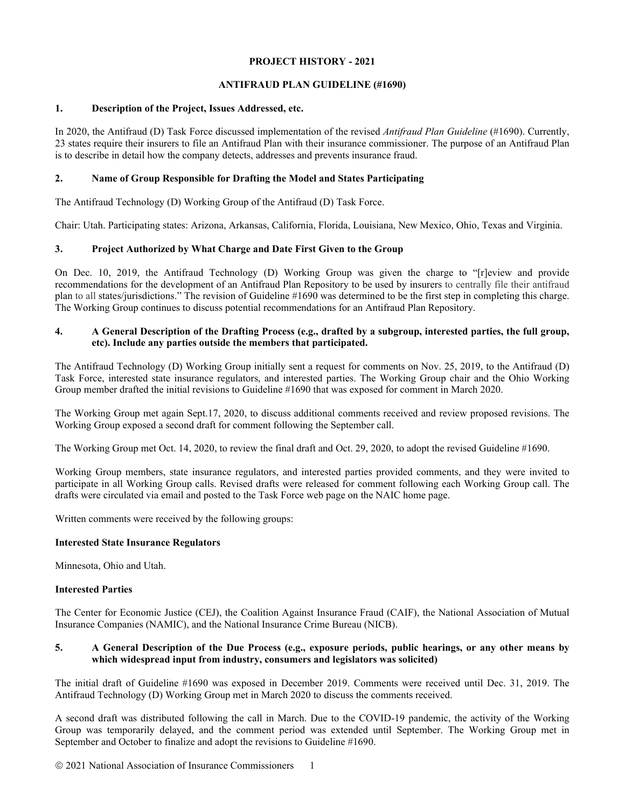## **PROJECT HISTORY - 2021**

# **ANTIFRAUD PLAN GUIDELINE (#1690)**

#### **1. Description of the Project, Issues Addressed, etc.**

In 2020, the Antifraud (D) Task Force discussed implementation of the revised *Antifraud Plan Guideline* (#1690). Currently, 23 states require their insurers to file an Antifraud Plan with their insurance commissioner. The purpose of an Antifraud Plan is to describe in detail how the company detects, addresses and prevents insurance fraud.

# **2. Name of Group Responsible for Drafting the Model and States Participating**

The Antifraud Technology (D) Working Group of the Antifraud (D) Task Force.

Chair: Utah. Participating states: Arizona, Arkansas, California, Florida, Louisiana, New Mexico, Ohio, Texas and Virginia.

# **3. Project Authorized by What Charge and Date First Given to the Group**

On Dec. 10, 2019, the Antifraud Technology (D) Working Group was given the charge to "[r]eview and provide recommendations for the development of an Antifraud Plan Repository to be used by insurers to centrally file their antifraud plan to all states/jurisdictions." The revision of Guideline #1690 was determined to be the first step in completing this charge. The Working Group continues to discuss potential recommendations for an Antifraud Plan Repository.

# **4. A General Description of the Drafting Process (e.g., drafted by a subgroup, interested parties, the full group, etc). Include any parties outside the members that participated.**

The Antifraud Technology (D) Working Group initially sent a request for comments on Nov. 25, 2019, to the Antifraud (D) Task Force, interested state insurance regulators, and interested parties. The Working Group chair and the Ohio Working Group member drafted the initial revisions to Guideline #1690 that was exposed for comment in March 2020.

The Working Group met again Sept.17, 2020, to discuss additional comments received and review proposed revisions. The Working Group exposed a second draft for comment following the September call.

The Working Group met Oct. 14, 2020, to review the final draft and Oct. 29, 2020, to adopt the revised Guideline #1690.

Working Group members, state insurance regulators, and interested parties provided comments, and they were invited to participate in all Working Group calls. Revised drafts were released for comment following each Working Group call. The drafts were circulated via email and posted to the Task Force web page on the NAIC home page.

Written comments were received by the following groups:

# **Interested State Insurance Regulators**

Minnesota, Ohio and Utah.

# **Interested Parties**

The Center for Economic Justice (CEJ), the Coalition Against Insurance Fraud (CAIF), the National Association of Mutual Insurance Companies (NAMIC), and the National Insurance Crime Bureau (NICB).

#### **5. A General Description of the Due Process (e.g., exposure periods, public hearings, or any other means by which widespread input from industry, consumers and legislators was solicited)**

The initial draft of Guideline #1690 was exposed in December 2019. Comments were received until Dec. 31, 2019. The Antifraud Technology (D) Working Group met in March 2020 to discuss the comments received.

A second draft was distributed following the call in March. Due to the COVID-19 pandemic, the activity of the Working Group was temporarily delayed, and the comment period was extended until September. The Working Group met in September and October to finalize and adopt the revisions to Guideline #1690.